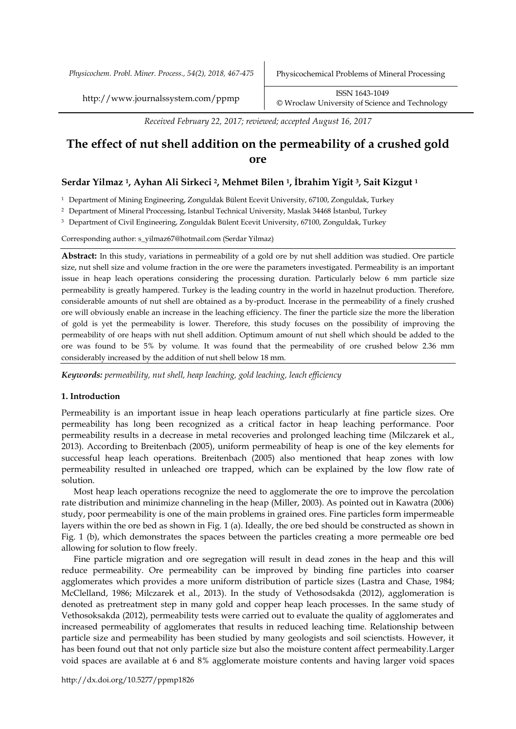*Physicochem. Probl. Miner. Process., 54(2), 2018, 467-475* Physicochemical Problems of Mineral Processing

http://www.journalssystem.com/ppmp ISSN 1643-1049 [©](http://www.minproc.pwr.wroc.pl/journal/) Wroclaw University of Science and Technology

*Received February 22, 2017; reviewed; accepted August 16, 2017*

# **The effect of nut shell addition on the permeability of a crushed gold ore**

# **Serdar Yilmaz <sup>1</sup>, Ayhan Ali Sirkeci <sup>2</sup>, Mehmet Bilen <sup>1</sup>, İbrahim Yigit <sup>3</sup>, Sait Kizgut <sup>1</sup>**

<sup>1</sup> Department of Mining Engineering, Zonguldak Bülent Ecevit University, 67100, Zonguldak, Turkey

<sup>2</sup> Department of Mineral Proccessing, Istanbul Technical University, Maslak 34468 İstanbul, Turkey

<sup>3</sup> Department of Civil Engineering, Zonguldak Bülent Ecevit University, 67100, Zonguldak, Turkey

Corresponding author: s\_yilmaz67@hotmail.com (Serdar Yilmaz)

**Abstract:** In this study, variations in permeability of a gold ore by nut shell addition was studied. Ore particle size, nut shell size and volume fraction in the ore were the parameters investigated. Permeability is an important issue in heap leach operations considering the processing duration. Particularly below 6 mm particle size permeability is greatly hampered. Turkey is the leading country in the world in hazelnut production. Therefore, considerable amounts of nut shell are obtained as a by-product. Incerase in the permeability of a finely crushed ore will obviously enable an increase in the leaching efficiency. The finer the particle size the more the liberation of gold is yet the permeability is lower. Therefore, this study focuses on the possibility of improving the permeability of ore heaps with nut shell addition. Optimum amount of nut shell which should be added to the ore was found to be 5% by volume. It was found that the permeability of ore crushed below 2.36 mm considerably increased by the addition of nut shell below 18 mm.

*Keywords: permeability, nut shell, heap leaching, gold leaching, leach efficiency*

## **1. Introduction**

Permeability is an important issue in heap leach operations particularly at fine particle sizes. Ore permeability has long been recognized as a critical factor in heap leaching performance. Poor permeability results in a decrease in metal recoveries and prolonged leaching time (Milczarek et al., 2013). According to Breitenbach (2005), uniform permeability of heap is one of the key elements for successful heap leach operations. Breitenbach (2005) also mentioned that heap zones with low permeability resulted in unleached ore trapped, which can be explained by the low flow rate of solution.

Most heap leach operations recognize the need to agglomerate the ore to improve the percolation rate distribution and minimize channeling in the heap (Miller, 2003). As pointed out in Kawatra (2006) study, poor permeability is one of the main problems in grained ores. Fine particles form impermeable layers within the ore bed as shown in Fig. 1 (a). Ideally, the ore bed should be constructed as shown in Fig. 1 (b), which demonstrates the spaces between the particles creating a more permeable ore bed allowing for solution to flow freely.

Fine particle migration and ore segregation will result in dead zones in the heap and this will reduce permeability. Ore permeability can be improved by binding fine particles into coarser agglomerates which provides a more uniform distribution of particle sizes (Lastra and Chase, 1984; McClelland, 1986; Milczarek et al., 2013). In the study of Vethosodsakda (2012), agglomeration is denoted as pretreatment step in many gold and copper heap leach processes. In the same study of Vethosoksakda (2012), permeability tests were carried out to evaluate the quality of agglomerates and increased permeability of agglomerates that results in reduced leaching time. Relationship between particle size and permeability has been studied by many geologists and soil scienctists. However, it has been found out that not only particle size but also the moisture content affect permeability.Larger void spaces are available at 6 and 8% agglomerate moisture contents and having larger void spaces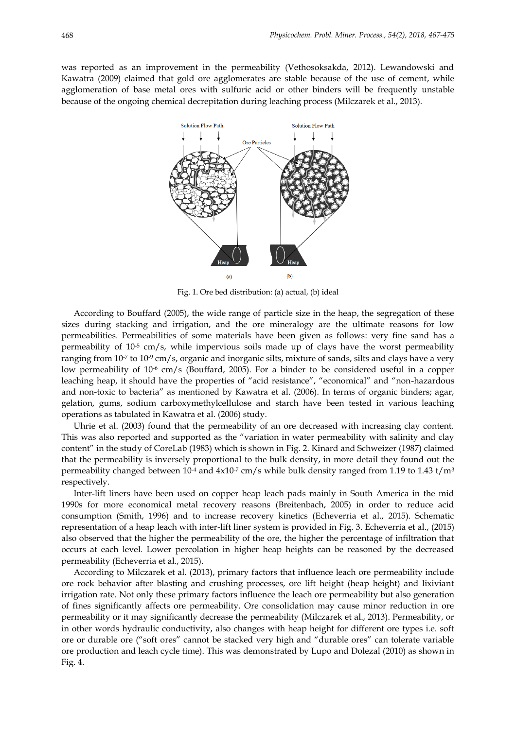was reported as an improvement in the permeability (Vethosoksakda, 2012). Lewandowski and Kawatra (2009) claimed that gold ore agglomerates are stable because of the use of cement, while agglomeration of base metal ores with sulfuric acid or other binders will be frequently unstable because of the ongoing chemical decrepitation during leaching process (Milczarek et al., 2013).



Fig. 1. Ore bed distribution: (a) actual, (b) ideal

According to Bouffard (2005), the wide range of particle size in the heap, the segregation of these sizes during stacking and irrigation, and the ore mineralogy are the ultimate reasons for low permeabilities. Permeabilities of some materials have been given as follows: very fine sand has a permeability of  $10^{-5}$  cm/s, while impervious soils made up of clays have the worst permeability ranging from  $10$ <sup>-7</sup> to  $10$ -9 cm/s, organic and inorganic silts, mixture of sands, silts and clays have a very low permeability of 10<sup>-6</sup> cm/s (Bouffard, 2005). For a binder to be considered useful in a copper leaching heap, it should have the properties of "acid resistance", "economical" and "non-hazardous and non-toxic to bacteria" as mentioned by Kawatra et al. (2006). In terms of organic binders; agar, gelation, gums, sodium carboxymethylcellulose and starch have been tested in various leaching operations as tabulated in Kawatra et al. (2006) study.

Uhrie et al. (2003) found that the permeability of an ore decreased with increasing clay content. This was also reported and supported as the "variation in water permeability with salinity and clay content" in the study of CoreLab (1983) which is shown in Fig. 2. Kinard and Schweizer (1987) claimed that the permeability is inversely proportional to the bulk density, in more detail they found out the permeability changed between  $10^{-4}$  and  $4x10^{-7}$  cm/s while bulk density ranged from 1.19 to 1.43 t/m<sup>3</sup> respectively.

Inter-lift liners have been used on copper heap leach pads mainly in South America in the mid 1990s for more economical metal recovery reasons (Breitenbach, 2005) in order to reduce acid consumption (Smith, 1996) and to increase recovery kinetics (Echeverria et al., 2015). Schematic representation of a heap leach with inter-lift liner system is provided in Fig. 3. Echeverria et al., (2015) also observed that the higher the permeability of the ore, the higher the percentage of infiltration that occurs at each level. Lower percolation in higher heap heights can be reasoned by the decreased permeability (Echeverria et al., 2015).

According to Milczarek et al. (2013), primary factors that influence leach ore permeability include ore rock behavior after blasting and crushing processes, ore lift height (heap height) and lixiviant irrigation rate. Not only these primary factors influence the leach ore permeability but also generation of fines significantly affects ore permeability. Ore consolidation may cause minor reduction in ore permeability or it may significantly decrease the permeability (Milczarek et al., 2013). Permeability, or in other words hydraulic conductivity, also changes with heap height for different ore types i.e. soft ore or durable ore ("soft ores" cannot be stacked very high and "durable ores" can tolerate variable ore production and leach cycle time). This was demonstrated by Lupo and Dolezal (2010) as shown in Fig. 4.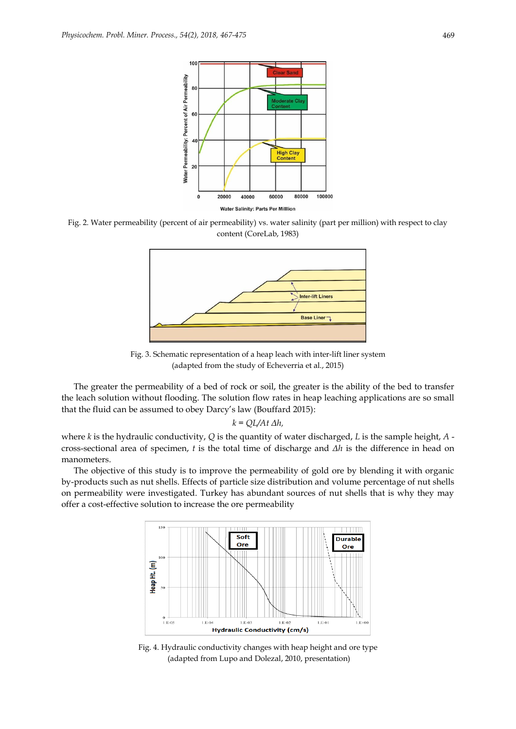

Fig. 2. Water permeability (percent of air permeability) vs. water salinity (part per million) with respect to clay content (CoreLab, 1983)



Fig. 3. Schematic representation of a heap leach with inter-lift liner system (adapted from the study of Echeverria et al., 2015)

The greater the permeability of a bed of rock or soil, the greater is the ability of the bed to transfer the leach solution without flooding. The solution flow rates in heap leaching applications are so small that the fluid can be assumed to obey Darcy's law (Bouffard 2015):

$$
k = QL/At \Delta h,
$$

where *k* is the hydraulic conductivity,  $Q$  is the quantity of water discharged, *L* is the sample height,  $A$  cross-sectional area of specimen, *t* is the total time of discharge and *Δh* is the difference in head on manometers.

The objective of this study is to improve the permeability of gold ore by blending it with organic by-products such as nut shells. Effects of particle size distribution and volume percentage of nut shells on permeability were investigated. Turkey has abundant sources of nut shells that is why they may offer a cost-effective solution to increase the ore permeability



Fig. 4. Hydraulic conductivity changes with heap height and ore type (adapted from Lupo and Dolezal, 2010, presentation)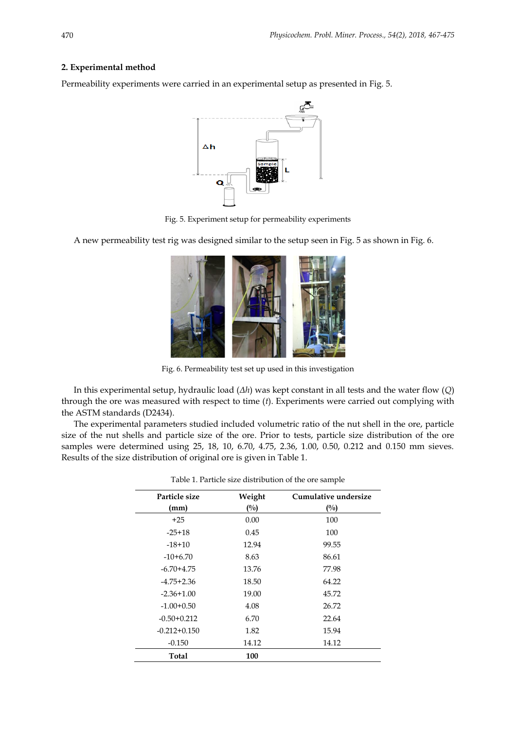# **2. Experimental method**

Permeability experiments were carried in an experimental setup as presented in Fig. 5.



Fig. 5. Experiment setup for permeability experiments

A new permeability test rig was designed similar to the setup seen in Fig. 5 as shown in Fig. 6.



Fig. 6. Permeability test set up used in this investigation

In this experimental setup, hydraulic load (*Δh*) was kept constant in all tests and the water flow (*Q*) through the ore was measured with respect to time (*t*). Experiments were carried out complying with the ASTM standards (D2434).

The experimental parameters studied included volumetric ratio of the nut shell in the ore, particle size of the nut shells and particle size of the ore. Prior to tests, particle size distribution of the ore samples were determined using 25, 18, 10, 6.70, 4.75, 2.36, 1.00, 0.50, 0.212 and 0.150 mm sieves. Results of the size distribution of original ore is given in Table 1.

| Particle size    | Weight | Cumulative undersize |
|------------------|--------|----------------------|
| (mm)             | (%)    | (%)                  |
| $+25$            | 0.00   | 100                  |
| $-25+18$         | 0.45   | 100                  |
| $-18+10$         | 12.94  | 99.55                |
| $-10+6.70$       | 8.63   | 86.61                |
| $-6.70 + 4.75$   | 13.76  | 77.98                |
| $-4.75 + 2.36$   | 18.50  | 64.22                |
| $-2.36+1.00$     | 19.00  | 45.72                |
| $-1.00 + 0.50$   | 4.08   | 26.72                |
| $-0.50 + 0.212$  | 6.70   | 22.64                |
| $-0.212 + 0.150$ | 1.82   | 15.94                |
| $-0.150$         | 14.12  | 14.12                |
| Total            | 100    |                      |

| Table 1. Particle size distribution of the ore sample |  |  |  |
|-------------------------------------------------------|--|--|--|
|-------------------------------------------------------|--|--|--|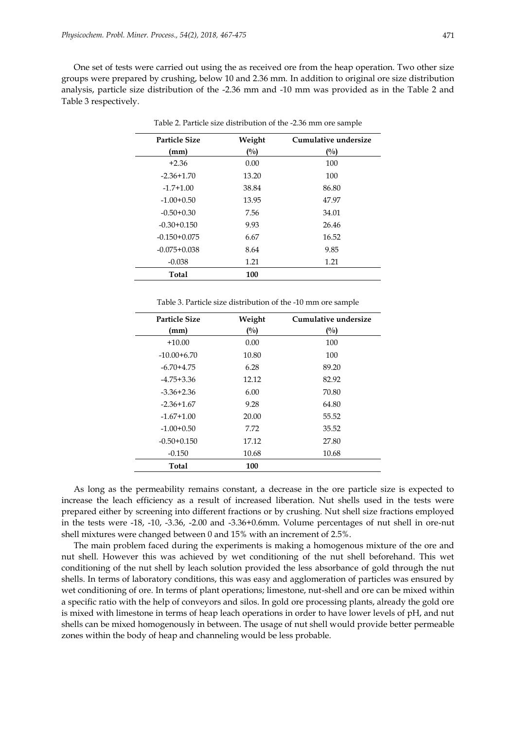One set of tests were carried out using the as received ore from the heap operation. Two other size groups were prepared by crushing, below 10 and 2.36 mm. In addition to original ore size distribution analysis, particle size distribution of the -2.36 mm and -10 mm was provided as in the Table 2 and Table 3 respectively.

| <b>Particle Size</b> | Weight | Cumulative undersize |
|----------------------|--------|----------------------|
| (mm)                 | $($ %) | $($ %)               |
| $+2.36$              | 0.00   | 100                  |
| $-2.36 + 1.70$       | 13.20  | 100                  |
| $-1.7+1.00$          | 38.84  | 86.80                |
| $-1.00 + 0.50$       | 13.95  | 47.97                |
| $-0.50 + 0.30$       | 7.56   | 34.01                |
| $-0.30 + 0.150$      | 9.93   | 26.46                |
| $-0.150 + 0.075$     | 6.67   | 16.52                |
| $-0.075 + 0.038$     | 8.64   | 9.85                 |
| $-0.038$             | 1.21   | 1.21                 |
| Total                | 100    |                      |

Table 2. Particle size distribution of the -2.36 mm ore sample

| Particle Size   | Weight | Cumulative undersize |
|-----------------|--------|----------------------|
| (mm)            | (%)    | $\binom{0}{0}$       |
| $+10.00$        | 0.00   | 100                  |
| $-10.00 + 6.70$ | 10.80  | 100                  |
| $-6.70 + 4.75$  | 6.28   | 89.20                |
| $-4.75 + 3.36$  | 12.12  | 82.92                |
| $-3.36 + 2.36$  | 6.00   | 70.80                |
| $-2.36+1.67$    | 9.28   | 64.80                |
| $-1.67 + 1.00$  | 20.00  | 55.52                |
| $-1.00+0.50$    | 7.72   | 35.52                |
| $-0.50 + 0.150$ | 17.12  | 27.80                |
| $-0.150$        | 10.68  | 10.68                |
| Total           | 100    |                      |

As long as the permeability remains constant, a decrease in the ore particle size is expected to increase the leach efficiency as a result of increased liberation. Nut shells used in the tests were prepared either by screening into different fractions or by crushing. Nut shell size fractions employed in the tests were -18, -10, -3.36, -2.00 and -3.36+0.6mm. Volume percentages of nut shell in ore-nut shell mixtures were changed between 0 and 15% with an increment of 2.5%.

The main problem faced during the experiments is making a homogenous mixture of the ore and nut shell. However this was achieved by wet conditioning of the nut shell beforehand. This wet conditioning of the nut shell by leach solution provided the less absorbance of gold through the nut shells. In terms of laboratory conditions, this was easy and agglomeration of particles was ensured by wet conditioning of ore. In terms of plant operations; limestone, nut-shell and ore can be mixed within a specific ratio with the help of conveyors and silos. In gold ore processing plants, already the gold ore is mixed with limestone in terms of heap leach operations in order to have lower levels of pH, and nut shells can be mixed homogenously in between. The usage of nut shell would provide better permeable zones within the body of heap and channeling would be less probable.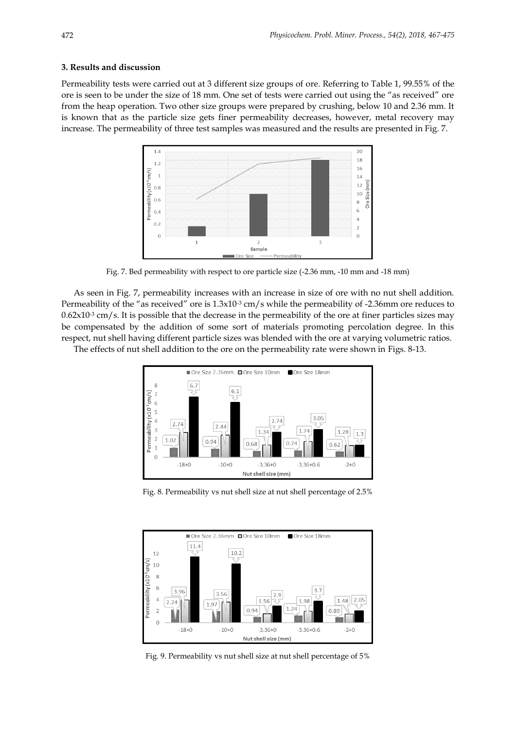## **3. Results and discussion**

Permeability tests were carried out at 3 different size groups of ore. Referring to Table 1, 99.55% of the ore is seen to be under the size of 18 mm. One set of tests were carried out using the "as received" ore from the heap operation. Two other size groups were prepared by crushing, below 10 and 2.36 mm. It is known that as the particle size gets finer permeability decreases, however, metal recovery may increase. The permeability of three test samples was measured and the results are presented in Fig. 7.



Fig. 7. Bed permeability with respect to ore particle size (-2.36 mm, -10 mm and -18 mm)

As seen in Fig. 7, permeability increases with an increase in size of ore with no nut shell addition. Permeability of the "as received" ore is  $1.3 \times 10^{-3}$  cm/s while the permeability of -2.36mm ore reduces to  $0.62x10<sup>-3</sup>$  cm/s. It is possible that the decrease in the permeability of the ore at finer particles sizes may be compensated by the addition of some sort of materials promoting percolation degree. In this respect, nut shell having different particle sizes was blended with the ore at varying volumetric ratios.

The effects of nut shell addition to the ore on the permeability rate were shown in Figs. 8-13.



Fig. 8. Permeability vs nut shell size at nut shell percentage of 2.5%



Fig. 9. Permeability vs nut shell size at nut shell percentage of 5%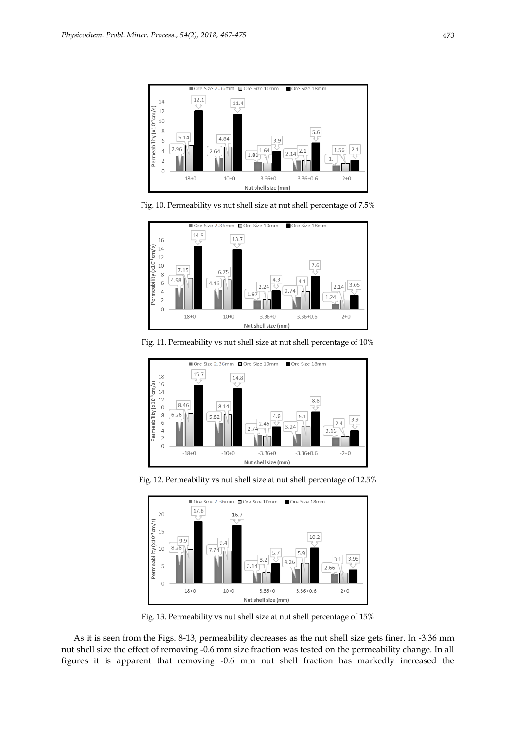

Fig. 10. Permeability vs nut shell size at nut shell percentage of 7.5%



Fig. 11. Permeability vs nut shell size at nut shell percentage of 10%



Fig. 12. Permeability vs nut shell size at nut shell percentage of 12.5%



Fig. 13. Permeability vs nut shell size at nut shell percentage of 15%

As it is seen from the Figs. 8-13, permeability decreases as the nut shell size gets finer. In -3.36 mm nut shell size the effect of removing -0.6 mm size fraction was tested on the permeability change. In all figures it is apparent that removing -0.6 mm nut shell fraction has markedly increased the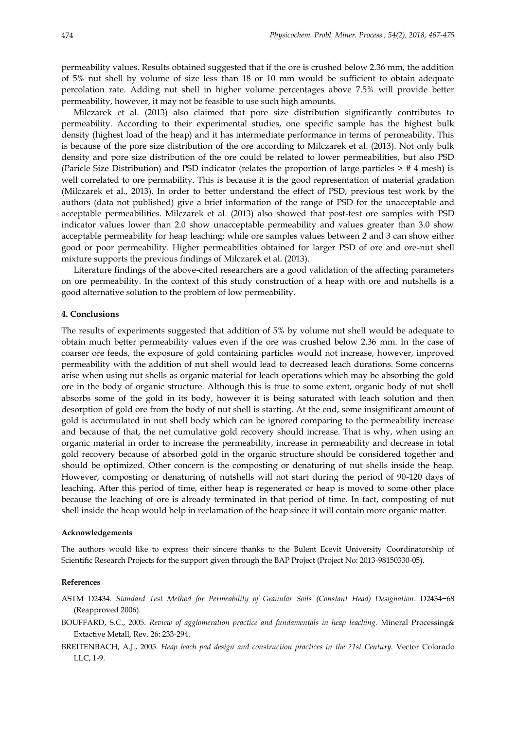permeability values. Results obtained suggested that if the ore is crushed below 2.36 mm, the addition of 5% nut shell by volume of size less than 18 or 10 mm would be sufficient to obtain adequate percolation rate. Adding nut shell in higher volume percentages above 7.5% will provide better permeability, however, it may not be feasible to use such high amounts.

Milczarek et al. (2013) also claimed that pore size distribution significantly contributes to permeability. According to their experimental studies, one specific sample has the highest bulk density (highest load of the heap) and it has intermediate performance in terms of permeability. This is because of the pore size distribution of the ore according to Milczarek et al. (2013). Not only bulk density and pore size distribution of the ore could be related to lower permeabilities, but also PSD (Paricle Size Distribution) and PSD indicator (relates the proportion of large particles > # 4 mesh) is well correlated to ore permability. This is because it is the good representation of material gradation (Milczarek et al., 2013). In order to better understand the effect of PSD, previous test work by the authors (data not published) give a brief information of the range of PSD for the unacceptable and acceptable permeabilities. Milczarek et al. (2013) also showed that post-test ore samples with PSD indicator values lower than 2.0 show unacceptable permeability and values greater than 3.0 show acceptable permeability for heap leaching; while ore samples values between 2 and 3 can show either good or poor permeability. Higher permeabilities obtained for larger PSD of ore and ore-nut shell mixture supports the previous findings of Milczarek et al. (2013).

Literature findings of the above-cited researchers are a good validation of the affecting parameters on ore permeability. In the context of this study construction of a heap with ore and nutshells is a good alternative solution to the problem of low permeability.

## **4. Conclusions**

The results of experiments suggested that addition of 5% by volume nut shell would be adequate to obtain much better permeability values even if the ore was crushed below 2.36 mm. In the case of coarser ore feeds, the exposure of gold containing particles would not increase, however, improved permeability with the addition of nut shell would lead to decreased leach durations. Some concerns arise when using nut shells as organic material for leach operations which may be absorbing the gold ore in the body of organic structure. Although this is true to some extent, organic body of nut shell absorbs some of the gold in its body, however it is being saturated with leach solution and then desorption of gold ore from the body of nut shell is starting. At the end, some insignificant amount of gold is accumulated in nut shell body which can be ignored comparing to the permeability increase and because of that, the net cumulative gold recovery should increase. That is why, when using an organic material in order to increase the permeability, increase in permeability and decrease in total gold recovery because of absorbed gold in the organic structure should be considered together and should be optimized. Other concern is the composting or denaturing of nut shells inside the heap. However, composting or denaturing of nutshells will not start during the period of 90-120 days of leaching. After this period of time, either heap is regenerated or heap is moved to some other place because the leaching of ore is already terminated in that period of time. In fact, composting of nut shell inside the heap would help in reclamation of the heap since it will contain more organic matter.

### **Acknowledgements**

The authors would like to express their sincere thanks to the Bulent Ecevit University Coordinatorship of Scientific Research Projects for the support given through the BAP Project (Project No: 2013-98150330-05).

#### **References**

- ASTM D2434. *Standard Test Method for Permeability of Granular Soils (Constant Head) Designation*. D2434−68 (Reapproved 2006).
- BOUFFARD, S.C., 2005. *Review of agglomeration practice and fundamentals in heap leaching.* Mineral Processing& Extactive Metall, Rev. 26: 233-294.
- BREITENBACH, A.J., 2005. *Heap leach pad design and construction practices in the 21st Century.* Vector Colorado LLC, 1-9.